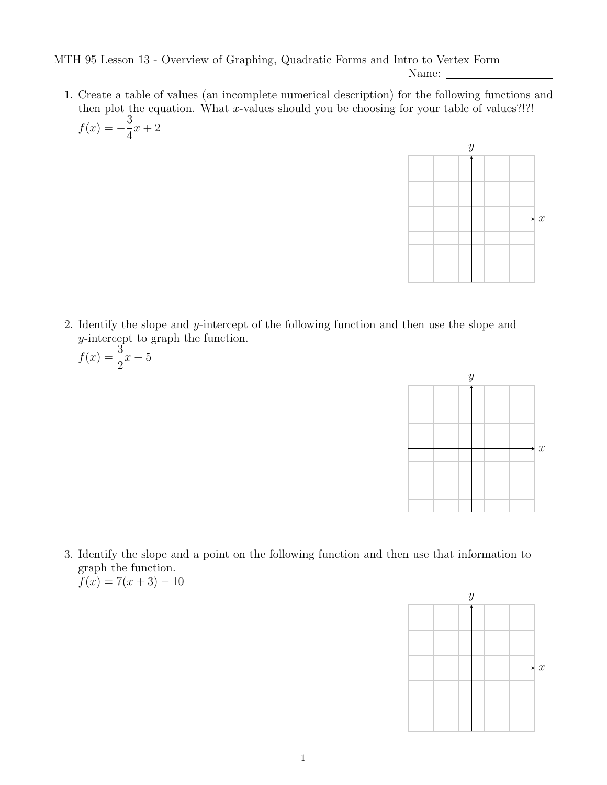MTH 95 Lesson 13 - Overview of Graphing, Quadratic Forms and Intro to Vertex Form

Name: \_

1. Create a table of values (an incomplete numerical description) for the following functions and then plot the equation. What x-values should you be choosing for your table of values?!?!  $f(x) = -\frac{3}{4}$ 4  $x + 2$ 



2. Identify the slope and y-intercept of the following function and then use the slope and y-intercept to graph the function.

$$
f(x) = \frac{3}{2}x - 5
$$



3. Identify the slope and a point on the following function and then use that information to graph the function.  $f(x) = 7(x+3) - 10$ 

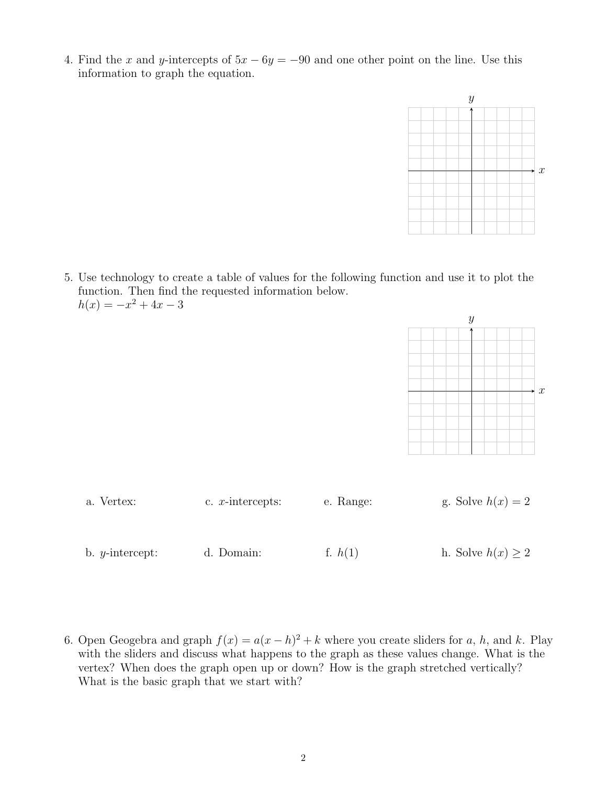4. Find the x and y-intercepts of  $5x - 6y = -90$  and one other point on the line. Use this information to graph the equation.



5. Use technology to create a table of values for the following function and use it to plot the function. Then find the requested information below.  $h(x) = -x^2 + 4x - 3$ 



| a. Vertex:               | c. $x$ -intercepts: | e. Range: | g. Solve $h(x) = 2$    |  |
|--------------------------|---------------------|-----------|------------------------|--|
|                          |                     |           |                        |  |
| b. $y\text{-intercept:}$ | d. Domain:          | f. $h(1)$ | h. Solve $h(x) \geq 2$ |  |

6. Open Geogebra and graph  $f(x) = a(x - h)^2 + k$  where you create sliders for a, h, and k. Play with the sliders and discuss what happens to the graph as these values change. What is the vertex? When does the graph open up or down? How is the graph stretched vertically? What is the basic graph that we start with?